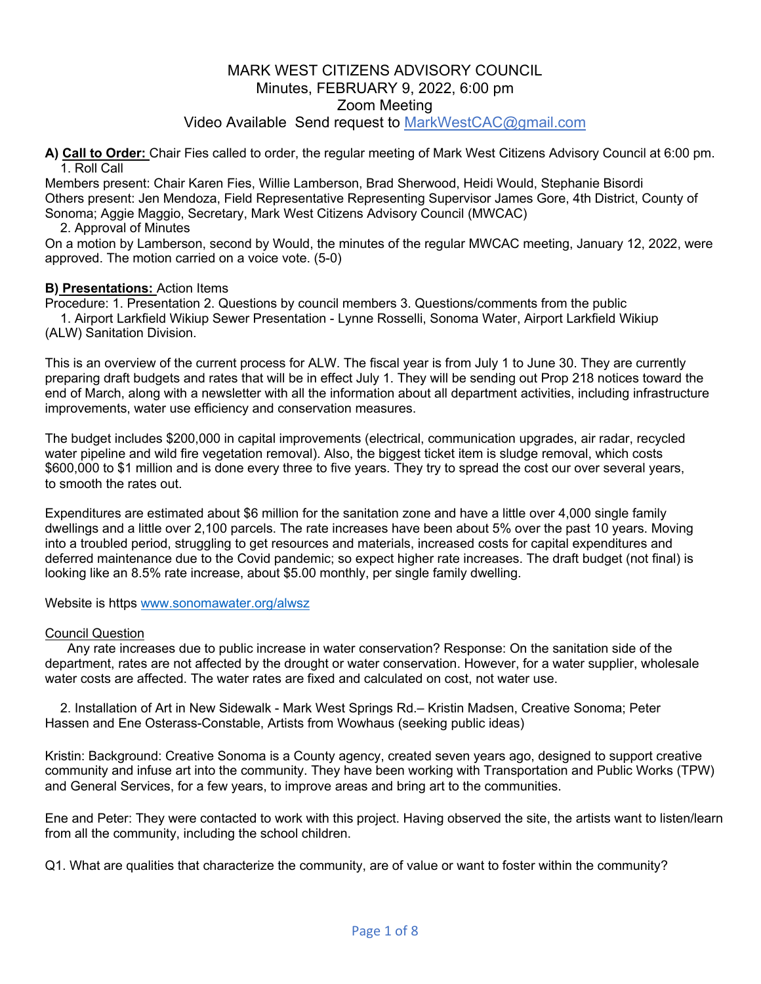**A) Call to Order:** Chair Fies called to order, the regular meeting of Mark West Citizens Advisory Council at 6:00 pm. 1. Roll Call

Members present: Chair Karen Fies, Willie Lamberson, Brad Sherwood, Heidi Would, Stephanie Bisordi Others present: Jen Mendoza, Field Representative Representing Supervisor James Gore, 4th District, County of Sonoma; Aggie Maggio, Secretary, Mark West Citizens Advisory Council (MWCAC)

#### 2. Approval of Minutes

On a motion by Lamberson, second by Would, the minutes of the regular MWCAC meeting, January 12, 2022, were approved. The motion carried on a voice vote. (5-0)

#### **B) Presentations:** Action Items

Procedure: 1. Presentation 2. Questions by council members 3. Questions/comments from the public 1. Airport Larkfield Wikiup Sewer Presentation - Lynne Rosselli, Sonoma Water, Airport Larkfield Wikiup (ALW) Sanitation Division.

This is an overview of the current process for ALW. The fiscal year is from July 1 to June 30. They are currently preparing draft budgets and rates that will be in effect July 1. They will be sending out Prop 218 notices toward the end of March, along with a newsletter with all the information about all department activities, including infrastructure improvements, water use efficiency and conservation measures.

The budget includes \$200,000 in capital improvements (electrical, communication upgrades, air radar, recycled water pipeline and wild fire vegetation removal). Also, the biggest ticket item is sludge removal, which costs \$600,000 to \$1 million and is done every three to five years. They try to spread the cost our over several years, to smooth the rates out.

Expenditures are estimated about \$6 million for the sanitation zone and have a little over 4,000 single family dwellings and a little over 2,100 parcels. The rate increases have been about 5% over the past 10 years. Moving into a troubled period, struggling to get resources and materials, increased costs for capital expenditures and deferred maintenance due to the Covid pandemic; so expect higher rate increases. The draft budget (not final) is looking like an 8.5% rate increase, about \$5.00 monthly, per single family dwelling.

Website is https www.sonomawater.org/alwsz

#### Council Question

 Any rate increases due to public increase in water conservation? Response: On the sanitation side of the department, rates are not affected by the drought or water conservation. However, for a water supplier, wholesale water costs are affected. The water rates are fixed and calculated on cost, not water use.

2. Installation of Art in New Sidewalk - Mark West Springs Rd.– Kristin Madsen, Creative Sonoma; Peter Hassen and Ene Osterass-Constable, Artists from Wowhaus (seeking public ideas)

Kristin: Background: Creative Sonoma is a County agency, created seven years ago, designed to support creative community and infuse art into the community. They have been working with Transportation and Public Works (TPW) and General Services, for a few years, to improve areas and bring art to the communities.

Ene and Peter: They were contacted to work with this project. Having observed the site, the artists want to listen/learn from all the community, including the school children.

Q1. What are qualities that characterize the community, are of value or want to foster within the community?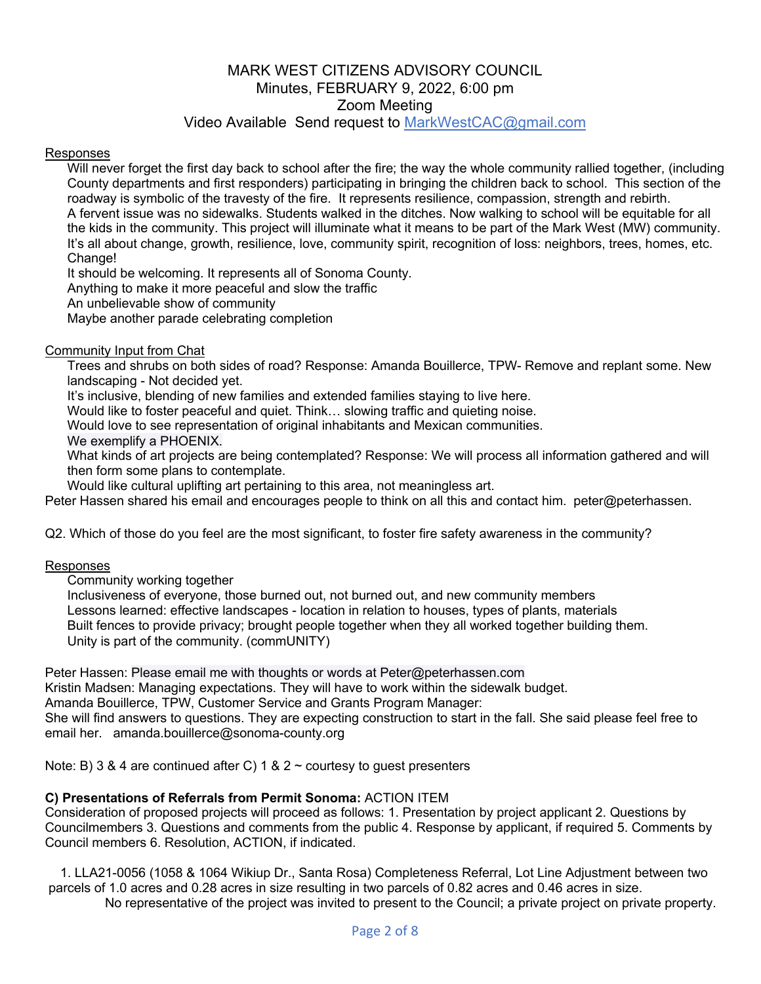# Video Available Send request to MarkWestCAC@gmail.com

#### Responses

 Will never forget the first day back to school after the fire; the way the whole community rallied together, (including County departments and first responders) participating in bringing the children back to school. This section of the roadway is symbolic of the travesty of the fire. It represents resilience, compassion, strength and rebirth. A fervent issue was no sidewalks. Students walked in the ditches. Now walking to school will be equitable for all the kids in the community. This project will illuminate what it means to be part of the Mark West (MW) community. It's all about change, growth, resilience, love, community spirit, recognition of loss: neighbors, trees, homes, etc. Change!

It should be welcoming. It represents all of Sonoma County.

Anything to make it more peaceful and slow the traffic

An unbelievable show of community

Maybe another parade celebrating completion

#### Community Input from Chat

 Trees and shrubs on both sides of road? Response: Amanda Bouillerce, TPW- Remove and replant some. New landscaping - Not decided yet.

It's inclusive, blending of new families and extended families staying to live here.

Would like to foster peaceful and quiet. Think… slowing traffic and quieting noise.

Would love to see representation of original inhabitants and Mexican communities.

We exemplify a PHOENIX.

 What kinds of art projects are being contemplated? Response: We will process all information gathered and will then form some plans to contemplate.

Would like cultural uplifting art pertaining to this area, not meaningless art.

Peter Hassen shared his email and encourages people to think on all this and contact him. peter@peterhassen.

Q2. Which of those do you feel are the most significant, to foster fire safety awareness in the community?

#### Responses

Community working together

 Inclusiveness of everyone, those burned out, not burned out, and new community members Lessons learned: effective landscapes - location in relation to houses, types of plants, materials Built fences to provide privacy; brought people together when they all worked together building them. Unity is part of the community. (commUNITY)

Peter Hassen: Please email me with thoughts or words at Peter@peterhassen.com Kristin Madsen: Managing expectations. They will have to work within the sidewalk budget. Amanda Bouillerce, TPW, Customer Service and Grants Program Manager: She will find answers to questions. They are expecting construction to start in the fall. She said please feel free to email her. amanda.bouillerce@sonoma-county.org

Note: B) 3 & 4 are continued after C) 1 & 2  $\sim$  courtesy to guest presenters

## **C) Presentations of Referrals from Permit Sonoma:** ACTION ITEM

Consideration of proposed projects will proceed as follows: 1. Presentation by project applicant 2. Questions by Councilmembers 3. Questions and comments from the public 4. Response by applicant, if required 5. Comments by Council members 6. Resolution, ACTION, if indicated.

1. LLA21-0056 (1058 & 1064 Wikiup Dr., Santa Rosa) Completeness Referral, Lot Line Adjustment between two parcels of 1.0 acres and 0.28 acres in size resulting in two parcels of 0.82 acres and 0.46 acres in size. No representative of the project was invited to present to the Council; a private project on private property.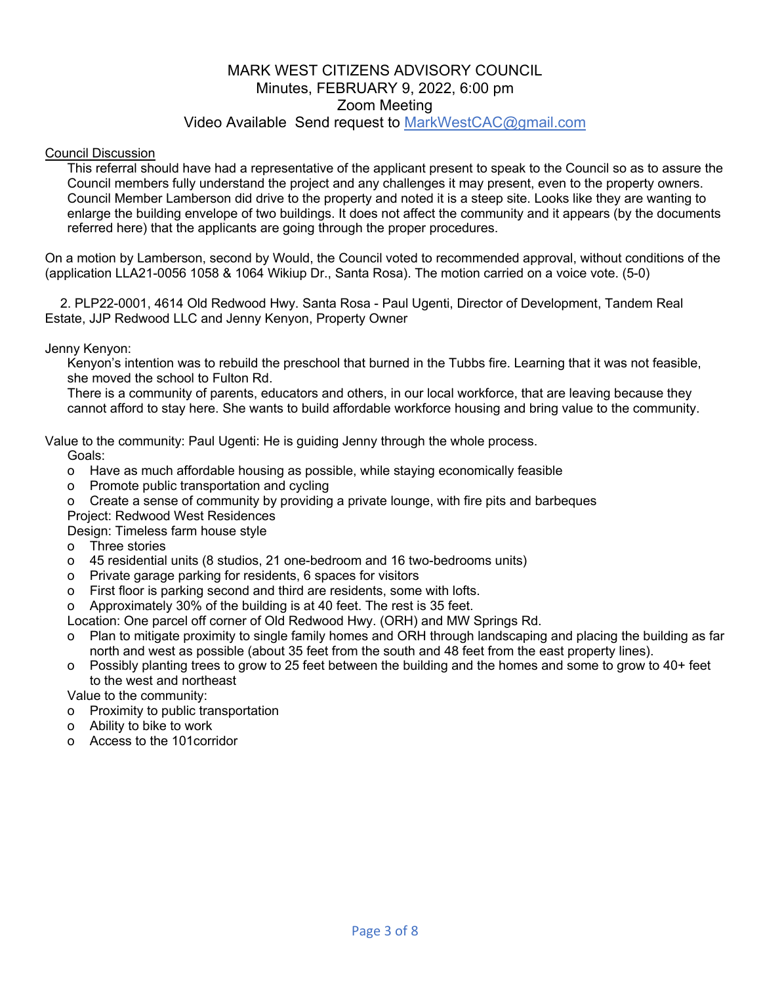#### Council Discussion

 This referral should have had a representative of the applicant present to speak to the Council so as to assure the Council members fully understand the project and any challenges it may present, even to the property owners. Council Member Lamberson did drive to the property and noted it is a steep site. Looks like they are wanting to enlarge the building envelope of two buildings. It does not affect the community and it appears (by the documents referred here) that the applicants are going through the proper procedures.

On a motion by Lamberson, second by Would, the Council voted to recommended approval, without conditions of the (application LLA21-0056 1058 & 1064 Wikiup Dr., Santa Rosa). The motion carried on a voice vote. (5-0)

2. PLP22-0001, 4614 Old Redwood Hwy. Santa Rosa - Paul Ugenti, Director of Development, Tandem Real Estate, JJP Redwood LLC and Jenny Kenyon, Property Owner

Jenny Kenyon:

 Kenyon's intention was to rebuild the preschool that burned in the Tubbs fire. Learning that it was not feasible, she moved the school to Fulton Rd.

 There is a community of parents, educators and others, in our local workforce, that are leaving because they cannot afford to stay here. She wants to build affordable workforce housing and bring value to the community.

Value to the community: Paul Ugenti: He is guiding Jenny through the whole process.

Goals:

- o Have as much affordable housing as possible, while staying economically feasible
- o Promote public transportation and cycling
- o Create a sense of community by providing a private lounge, with fire pits and barbeques Project: Redwood West Residences
- Design: Timeless farm house style
- o Three stories
- o 45 residential units (8 studios, 21 one-bedroom and 16 two-bedrooms units)
- o Private garage parking for residents, 6 spaces for visitors
- o First floor is parking second and third are residents, some with lofts.
- o Approximately 30% of the building is at 40 feet. The rest is 35 feet.

Location: One parcel off corner of Old Redwood Hwy. (ORH) and MW Springs Rd.

- o Plan to mitigate proximity to single family homes and ORH through landscaping and placing the building as far north and west as possible (about 35 feet from the south and 48 feet from the east property lines).
- o Possibly planting trees to grow to 25 feet between the building and the homes and some to grow to 40+ feet to the west and northeast

Value to the community:

- o Proximity to public transportation
- o Ability to bike to work
- o Access to the 101corridor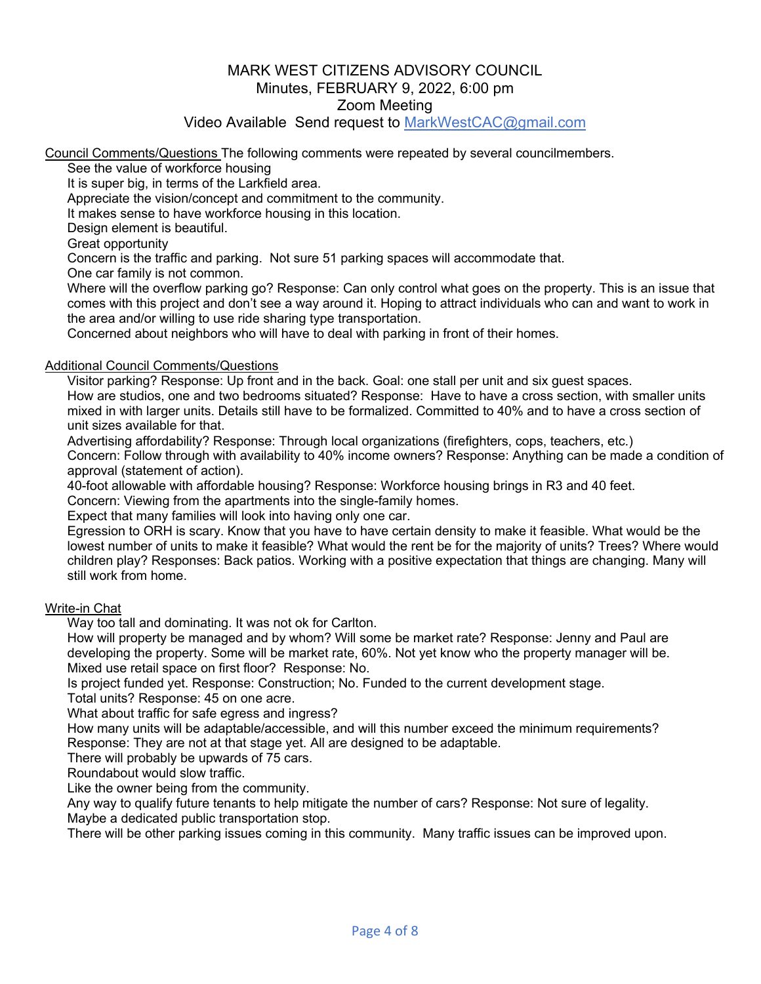Video Available Send request to MarkWestCAC@gmail.com

Council Comments/Questions The following comments were repeated by several councilmembers.

See the value of workforce housing

It is super big, in terms of the Larkfield area.

Appreciate the vision/concept and commitment to the community.

It makes sense to have workforce housing in this location.

Design element is beautiful.

Great opportunity

Concern is the traffic and parking. Not sure 51 parking spaces will accommodate that.

One car family is not common.

 Where will the overflow parking go? Response: Can only control what goes on the property. This is an issue that comes with this project and don't see a way around it. Hoping to attract individuals who can and want to work in the area and/or willing to use ride sharing type transportation.

Concerned about neighbors who will have to deal with parking in front of their homes.

#### Additional Council Comments/Questions

Visitor parking? Response: Up front and in the back. Goal: one stall per unit and six guest spaces.

 How are studios, one and two bedrooms situated? Response: Have to have a cross section, with smaller units mixed in with larger units. Details still have to be formalized. Committed to 40% and to have a cross section of unit sizes available for that.

 Advertising affordability? Response: Through local organizations (firefighters, cops, teachers, etc.) Concern: Follow through with availability to 40% income owners? Response: Anything can be made a condition of approval (statement of action).

40-foot allowable with affordable housing? Response: Workforce housing brings in R3 and 40 feet.

Concern: Viewing from the apartments into the single-family homes.

Expect that many families will look into having only one car.

 Egression to ORH is scary. Know that you have to have certain density to make it feasible. What would be the lowest number of units to make it feasible? What would the rent be for the majority of units? Trees? Where would children play? Responses: Back patios. Working with a positive expectation that things are changing. Many will still work from home.

#### Write-in Chat

Way too tall and dominating. It was not ok for Carlton.

 How will property be managed and by whom? Will some be market rate? Response: Jenny and Paul are developing the property. Some will be market rate, 60%. Not yet know who the property manager will be. Mixed use retail space on first floor? Response: No.

Is project funded yet. Response: Construction; No. Funded to the current development stage.

Total units? Response: 45 on one acre.

What about traffic for safe egress and ingress?

 How many units will be adaptable/accessible, and will this number exceed the minimum requirements? Response: They are not at that stage yet. All are designed to be adaptable.

There will probably be upwards of 75 cars.

Roundabout would slow traffic.

Like the owner being from the community.

 Any way to qualify future tenants to help mitigate the number of cars? Response: Not sure of legality. Maybe a dedicated public transportation stop.

There will be other parking issues coming in this community. Many traffic issues can be improved upon.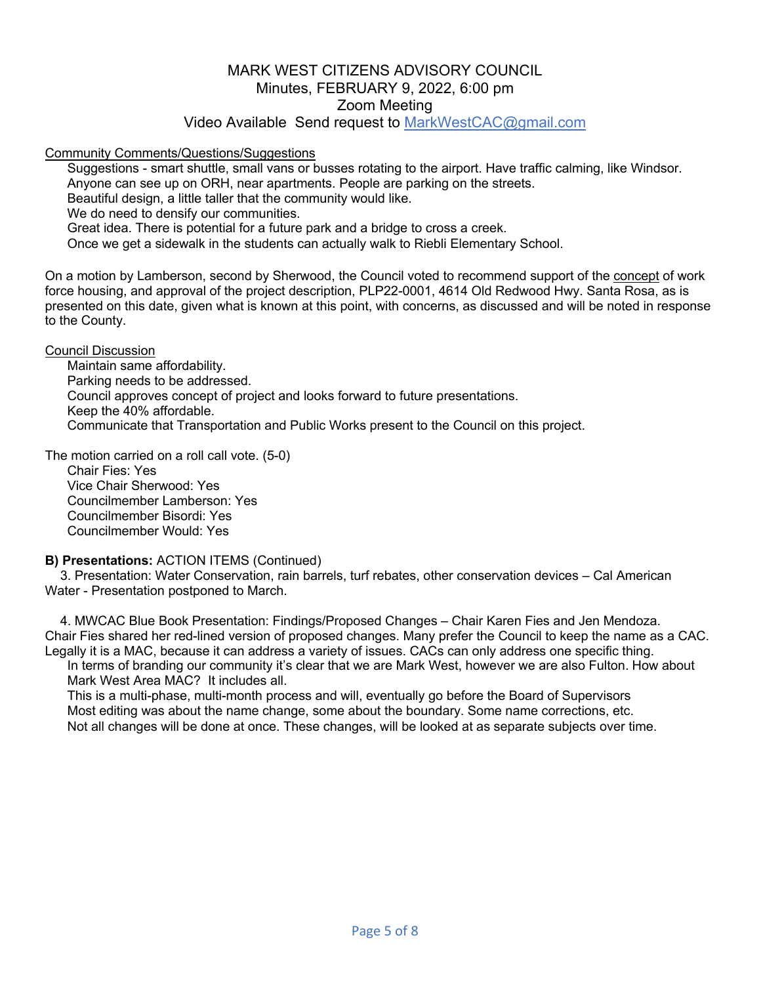Video Available Send request to MarkWestCAC@gmail.com

#### Community Comments/Questions/Suggestions

 Suggestions - smart shuttle, small vans or busses rotating to the airport. Have traffic calming, like Windsor. Anyone can see up on ORH, near apartments. People are parking on the streets. Beautiful design, a little taller that the community would like. We do need to densify our communities. Great idea. There is potential for a future park and a bridge to cross a creek. Once we get a sidewalk in the students can actually walk to Riebli Elementary School.

On a motion by Lamberson, second by Sherwood, the Council voted to recommend support of the concept of work force housing, and approval of the project description, PLP22-0001, 4614 Old Redwood Hwy. Santa Rosa, as is presented on this date, given what is known at this point, with concerns, as discussed and will be noted in response to the County.

Council Discussion

 Maintain same affordability. Parking needs to be addressed. Council approves concept of project and looks forward to future presentations. Keep the 40% affordable. Communicate that Transportation and Public Works present to the Council on this project.

The motion carried on a roll call vote. (5-0)

 Chair Fies: Yes Vice Chair Sherwood: Yes Councilmember Lamberson: Yes Councilmember Bisordi: Yes Councilmember Would: Yes

#### **B) Presentations:** ACTION ITEMS (Continued)

3. Presentation: Water Conservation, rain barrels, turf rebates, other conservation devices – Cal American Water - Presentation postponed to March.

4. MWCAC Blue Book Presentation: Findings/Proposed Changes – Chair Karen Fies and Jen Mendoza. Chair Fies shared her red-lined version of proposed changes. Many prefer the Council to keep the name as a CAC. Legally it is a MAC, because it can address a variety of issues. CACs can only address one specific thing.

 In terms of branding our community it's clear that we are Mark West, however we are also Fulton. How about Mark West Area MAC? It includes all.

 This is a multi-phase, multi-month process and will, eventually go before the Board of Supervisors Most editing was about the name change, some about the boundary. Some name corrections, etc. Not all changes will be done at once. These changes, will be looked at as separate subjects over time.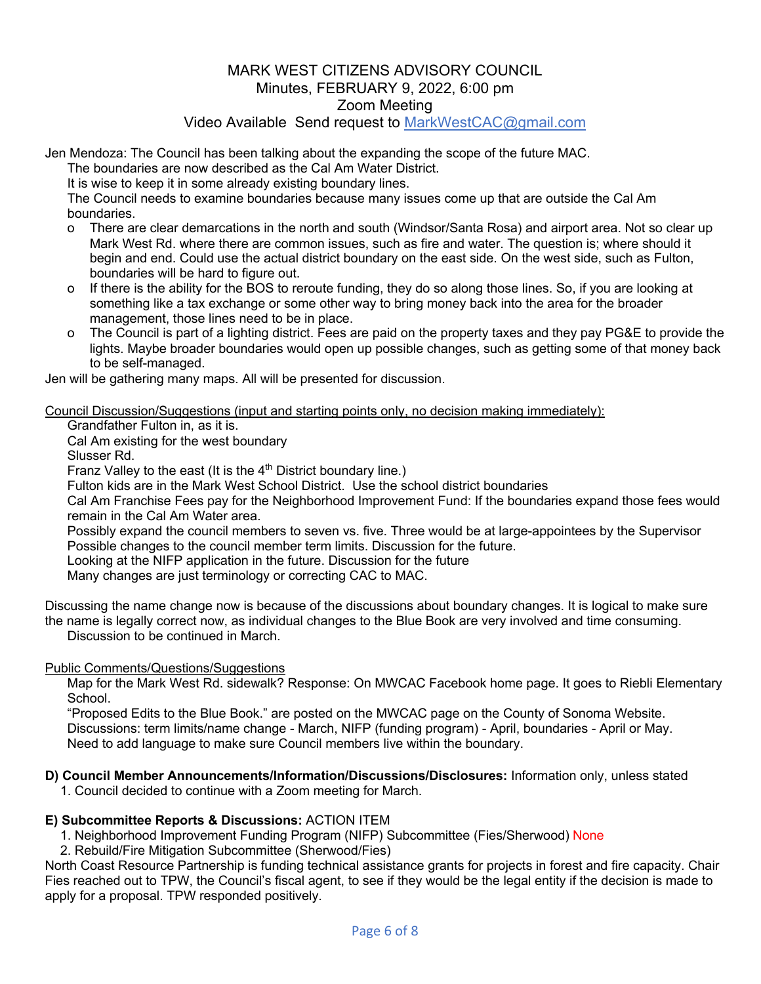Jen Mendoza: The Council has been talking about the expanding the scope of the future MAC.

The boundaries are now described as the Cal Am Water District.

It is wise to keep it in some already existing boundary lines.

 The Council needs to examine boundaries because many issues come up that are outside the Cal Am boundaries.

- o There are clear demarcations in the north and south (Windsor/Santa Rosa) and airport area. Not so clear up Mark West Rd. where there are common issues, such as fire and water. The question is; where should it begin and end. Could use the actual district boundary on the east side. On the west side, such as Fulton, boundaries will be hard to figure out.
- o If there is the ability for the BOS to reroute funding, they do so along those lines. So, if you are looking at something like a tax exchange or some other way to bring money back into the area for the broader management, those lines need to be in place.
- o The Council is part of a lighting district. Fees are paid on the property taxes and they pay PG&E to provide the lights. Maybe broader boundaries would open up possible changes, such as getting some of that money back to be self-managed.

Jen will be gathering many maps. All will be presented for discussion.

Council Discussion/Suggestions (input and starting points only, no decision making immediately):

Grandfather Fulton in, as it is.

Cal Am existing for the west boundary

Slusser Rd.

Franz Valley to the east (It is the 4<sup>th</sup> District boundary line.)

Fulton kids are in the Mark West School District. Use the school district boundaries

 Cal Am Franchise Fees pay for the Neighborhood Improvement Fund: If the boundaries expand those fees would remain in the Cal Am Water area.

 Possibly expand the council members to seven vs. five. Three would be at large-appointees by the Supervisor Possible changes to the council member term limits. Discussion for the future.

Looking at the NIFP application in the future. Discussion for the future

Many changes are just terminology or correcting CAC to MAC.

Discussing the name change now is because of the discussions about boundary changes. It is logical to make sure the name is legally correct now, as individual changes to the Blue Book are very involved and time consuming. Discussion to be continued in March.

#### Public Comments/Questions/Suggestions

 Map for the Mark West Rd. sidewalk? Response: On MWCAC Facebook home page. It goes to Riebli Elementary School.

 "Proposed Edits to the Blue Book." are posted on the MWCAC page on the County of Sonoma Website. Discussions: term limits/name change - March, NIFP (funding program) - April, boundaries - April or May. Need to add language to make sure Council members live within the boundary.

- **D) Council Member Announcements/Information/Discussions/Disclosures:** Information only, unless stated
	- 1. Council decided to continue with a Zoom meeting for March.

#### **E) Subcommittee Reports & Discussions:** ACTION ITEM

1. Neighborhood Improvement Funding Program (NIFP) Subcommittee (Fies/Sherwood) None

2. Rebuild/Fire Mitigation Subcommittee (Sherwood/Fies)

North Coast Resource Partnership is funding technical assistance grants for projects in forest and fire capacity. Chair Fies reached out to TPW, the Council's fiscal agent, to see if they would be the legal entity if the decision is made to apply for a proposal. TPW responded positively.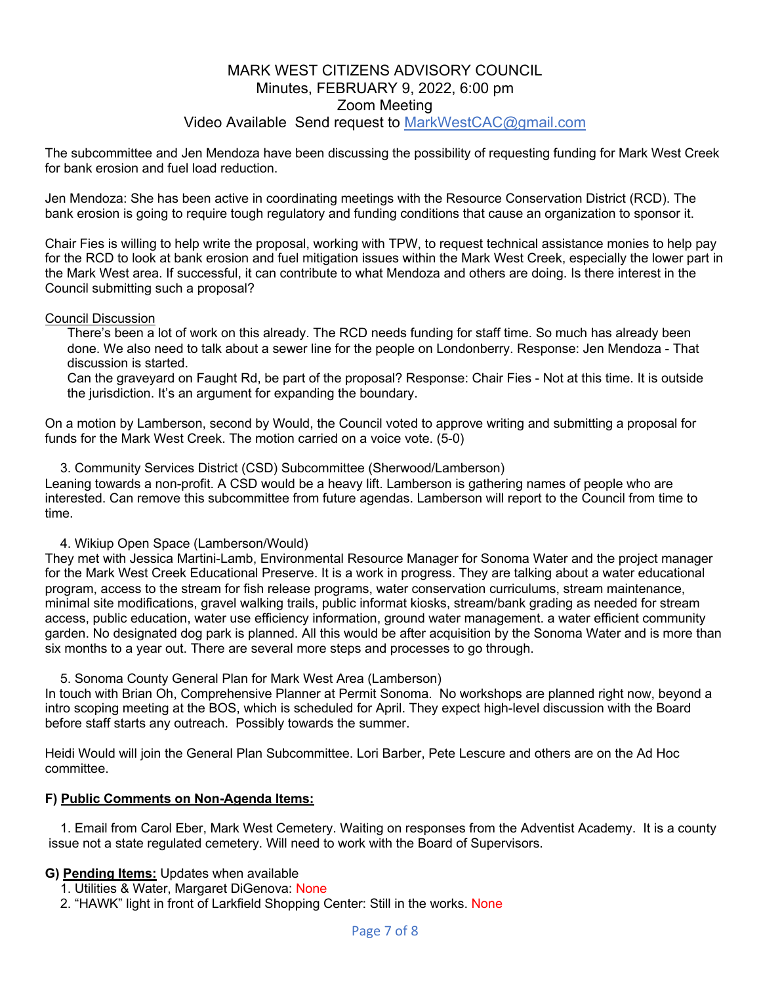The subcommittee and Jen Mendoza have been discussing the possibility of requesting funding for Mark West Creek for bank erosion and fuel load reduction.

Jen Mendoza: She has been active in coordinating meetings with the Resource Conservation District (RCD). The bank erosion is going to require tough regulatory and funding conditions that cause an organization to sponsor it.

Chair Fies is willing to help write the proposal, working with TPW, to request technical assistance monies to help pay for the RCD to look at bank erosion and fuel mitigation issues within the Mark West Creek, especially the lower part in the Mark West area. If successful, it can contribute to what Mendoza and others are doing. Is there interest in the Council submitting such a proposal?

#### Council Discussion

 There's been a lot of work on this already. The RCD needs funding for staff time. So much has already been done. We also need to talk about a sewer line for the people on Londonberry. Response: Jen Mendoza - That discussion is started.

 Can the graveyard on Faught Rd, be part of the proposal? Response: Chair Fies - Not at this time. It is outside the jurisdiction. It's an argument for expanding the boundary.

On a motion by Lamberson, second by Would, the Council voted to approve writing and submitting a proposal for funds for the Mark West Creek. The motion carried on a voice vote. (5-0)

3. Community Services District (CSD) Subcommittee (Sherwood/Lamberson)

Leaning towards a non-profit. A CSD would be a heavy lift. Lamberson is gathering names of people who are interested. Can remove this subcommittee from future agendas. Lamberson will report to the Council from time to time.

4. Wikiup Open Space (Lamberson/Would)

They met with Jessica Martini-Lamb, Environmental Resource Manager for Sonoma Water and the project manager for the Mark West Creek Educational Preserve. It is a work in progress. They are talking about a water educational program, access to the stream for fish release programs, water conservation curriculums, stream maintenance, minimal site modifications, gravel walking trails, public informat kiosks, stream/bank grading as needed for stream access, public education, water use efficiency information, ground water management. a water efficient community garden. No designated dog park is planned. All this would be after acquisition by the Sonoma Water and is more than six months to a year out. There are several more steps and processes to go through.

5. Sonoma County General Plan for Mark West Area (Lamberson)

In touch with Brian Oh, Comprehensive Planner at Permit Sonoma. No workshops are planned right now, beyond a intro scoping meeting at the BOS, which is scheduled for April. They expect high-level discussion with the Board before staff starts any outreach. Possibly towards the summer.

Heidi Would will join the General Plan Subcommittee. Lori Barber, Pete Lescure and others are on the Ad Hoc committee.

#### **F) Public Comments on Non-Agenda Items:**

1. Email from Carol Eber, Mark West Cemetery. Waiting on responses from the Adventist Academy. It is a county issue not a state regulated cemetery. Will need to work with the Board of Supervisors.

#### **G) Pending Items:** Updates when available

1. Utilities & Water, Margaret DiGenova: None

2. "HAWK" light in front of Larkfield Shopping Center: Still in the works. None